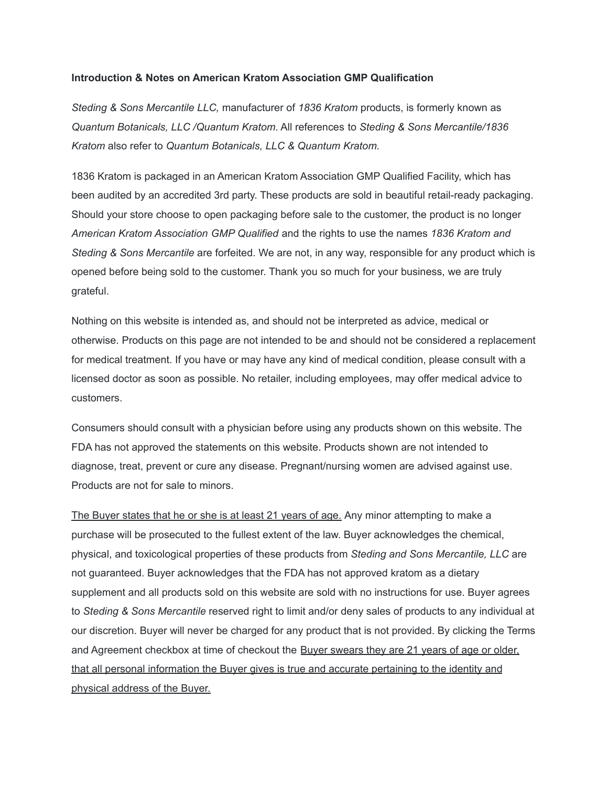#### **Introduction & Notes on American Kratom Association GMP Qualification**

*Steding & Sons Mercantile LLC,* manufacturer of *1836 Kratom* products, is formerly known as *Quantum Botanicals, LLC /Quantum Kratom*. All references to *Steding & Sons Mercantile/1836 Kratom* also refer to *Quantum Botanicals, LLC & Quantum Kratom.*

1836 Kratom is packaged in an American Kratom Association GMP Qualified Facility, which has been audited by an accredited 3rd party. These products are sold in beautiful retail-ready packaging. Should your store choose to open packaging before sale to the customer, the product is no longer *American Kratom Association GMP Qualified* and the rights to use the names *1836 Kratom and Steding & Sons Mercantile* are forfeited. We are not, in any way, responsible for any product which is opened before being sold to the customer. Thank you so much for your business, we are truly grateful.

Nothing on this website is intended as, and should not be interpreted as advice, medical or otherwise. Products on this page are not intended to be and should not be considered a replacement for medical treatment. If you have or may have any kind of medical condition, please consult with a licensed doctor as soon as possible. No retailer, including employees, may offer medical advice to customers.

Consumers should consult with a physician before using any products shown on this website. The FDA has not approved the statements on this website. Products shown are not intended to diagnose, treat, prevent or cure any disease. Pregnant/nursing women are advised against use. Products are not for sale to minors.

The Buyer states that he or she is at least 21 years of age. Any minor attempting to make a purchase will be prosecuted to the fullest extent of the law. Buyer acknowledges the chemical, physical, and toxicological properties of these products from *Steding and Sons Mercantile, LLC* are not guaranteed. Buyer acknowledges that the FDA has not approved kratom as a dietary supplement and all products sold on this website are sold with no instructions for use. Buyer agrees to *Steding & Sons Mercantile* reserved right to limit and/or deny sales of products to any individual at our discretion. Buyer will never be charged for any product that is not provided. By clicking the Terms and Agreement checkbox at time of checkout the Buyer swears they are 21 years of age or older, that all personal information the Buyer gives is true and accurate pertaining to the identity and physical address of the Buyer.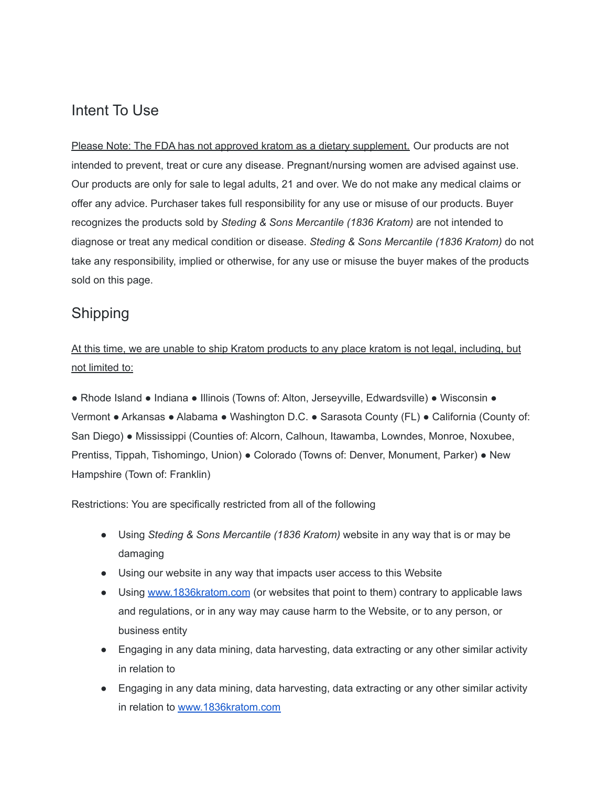#### Intent To Use

Please Note: The FDA has not approved kratom as a dietary supplement. Our products are not intended to prevent, treat or cure any disease. Pregnant/nursing women are advised against use. Our products are only for sale to legal adults, 21 and over. We do not make any medical claims or offer any advice. Purchaser takes full responsibility for any use or misuse of our products. Buyer recognizes the products sold by *Steding & Sons Mercantile (1836 Kratom)* are not intended to diagnose or treat any medical condition or disease. *Steding & Sons Mercantile (1836 Kratom)* do not take any responsibility, implied or otherwise, for any use or misuse the buyer makes of the products sold on this page.

#### Shipping

At this time, we are unable to ship Kratom products to any place kratom is not legal, including, but not limited to:

● Rhode Island ● Indiana ● Illinois (Towns of: Alton, Jerseyville, Edwardsville) ● Wisconsin ● Vermont ● Arkansas ● Alabama ● Washington D.C. ● Sarasota County (FL) ● California (County of: San Diego) ● Mississippi (Counties of: Alcorn, Calhoun, Itawamba, Lowndes, Monroe, Noxubee, Prentiss, Tippah, Tishomingo, Union) ● Colorado (Towns of: Denver, Monument, Parker) ● New Hampshire (Town of: Franklin)

Restrictions: You are specifically restricted from all of the following

- Using *Steding & Sons Mercantile (1836 Kratom)* website in any way that is or may be damaging
- Using our website in any way that impacts user access to this Website
- Using [www.1836kratom.com](http://www.quantumkratom.net/) (or websites that point to them) contrary to applicable laws and regulations, or in any way may cause harm to the Website, or to any person, or business entity
- Engaging in any data mining, data harvesting, data extracting or any other similar activity in relation to
- Engaging in any data mining, data harvesting, data extracting or any other similar activity in relation to [www.1836kratom.com](http://www.quantumkratom.net/)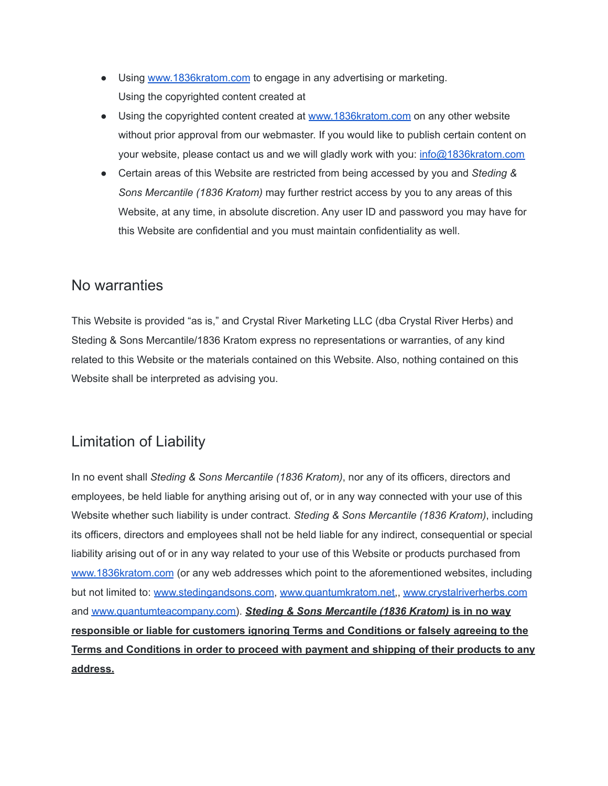- Using [www.1836kratom.com](http://www.quantumkratom.net/) to engage in any advertising or marketing. Using the copyrighted content created at
- Using the copyrighted content created at [www.1836kratom.com](http://www.quantumkratom.net/) on any other website without prior approval from our webmaster. If you would like to publish certain content on your website, please contact us and we will gladly work with you: [info@1836kratom.com](mailto:info@1836kratom.com)
- Certain areas of this Website are restricted from being accessed by you and *Steding & Sons Mercantile (1836 Kratom)* may further restrict access by you to any areas of this Website, at any time, in absolute discretion. Any user ID and password you may have for this Website are confidential and you must maintain confidentiality as well.

#### No warranties

This Website is provided "as is," and Crystal River Marketing LLC (dba Crystal River Herbs) and Steding & Sons Mercantile/1836 Kratom express no representations or warranties, of any kind related to this Website or the materials contained on this Website. Also, nothing contained on this Website shall be interpreted as advising you.

## Limitation of Liability

In no event shall *Steding & Sons Mercantile (1836 Kratom)*, nor any of its officers, directors and employees, be held liable for anything arising out of, or in any way connected with your use of this Website whether such liability is under contract. *Steding & Sons Mercantile (1836 Kratom)*, including its officers, directors and employees shall not be held liable for any indirect, consequential or special liability arising out of or in any way related to your use of this Website or products purchased from [www.1836kratom.com](http://www.1836kratom.com) (or any web addresses which point to the aforementioned websites, including but not limited to: [www.stedingandsons.com](http://www.stedingandsons.com), [www.quantumkratom.net,](http://www.quantumkratom.net), [www.crystalriverherbs.com](http://www.crystalriverherbs.com/) and [www.quantumteacompany.com\)](http://www.quantumteacompany.com/). *Steding & Sons Mercantile (1836 Kratom)* **is in no way responsible or liable for customers ignoring Terms and Conditions or falsely agreeing to the Terms and Conditions in order to proceed with payment and shipping of their products to any address.**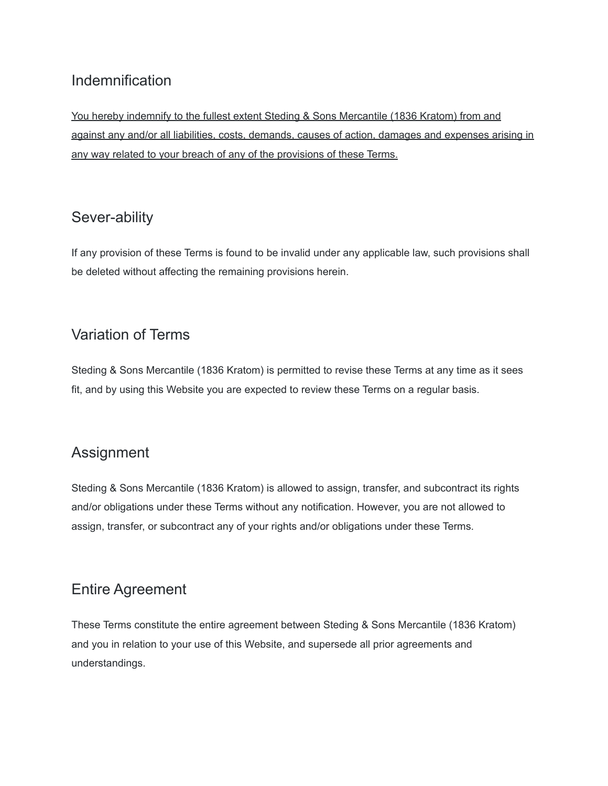## Indemnification

You hereby indemnify to the fullest extent Steding & Sons Mercantile (1836 Kratom) from and against any and/or all liabilities, costs, demands, causes of action, damages and expenses arising in any way related to your breach of any of the provisions of these Terms.

#### Sever-ability

If any provision of these Terms is found to be invalid under any applicable law, such provisions shall be deleted without affecting the remaining provisions herein.

## Variation of Terms

Steding & Sons Mercantile (1836 Kratom) is permitted to revise these Terms at any time as it sees fit, and by using this Website you are expected to review these Terms on a regular basis.

## Assignment

Steding & Sons Mercantile (1836 Kratom) is allowed to assign, transfer, and subcontract its rights and/or obligations under these Terms without any notification. However, you are not allowed to assign, transfer, or subcontract any of your rights and/or obligations under these Terms.

#### Entire Agreement

These Terms constitute the entire agreement between Steding & Sons Mercantile (1836 Kratom) and you in relation to your use of this Website, and supersede all prior agreements and understandings.